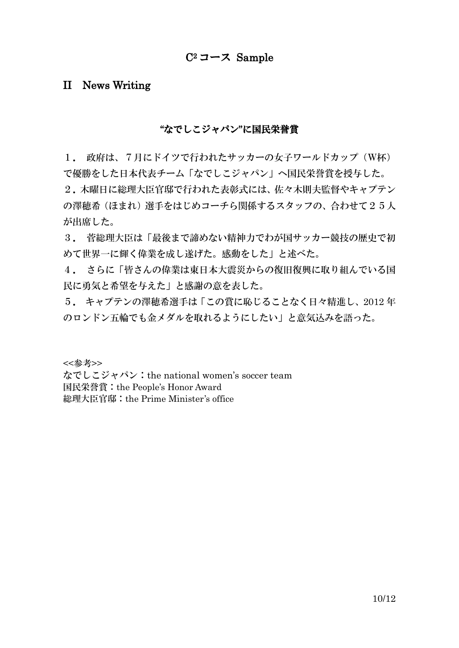# $C^2$ コース Sample

# II News Writing

#### "なでしこジャパン"に国民栄誉賞

1. 政府は、7月にドイツで行われたサッカーの女子ワールドカップ(W杯) で優勝をした日本代表チーム「なでしこジャパン」へ国民栄誉賞を授与した。 2.木曜日に総理大臣官邸で行われた表彰式には、佐々木則夫監督やキャプテン の澤穂希(ほまれ)選手をはじめコーチら関係するスタッフの、合わせて25人 が出席した。

3. 菅総理大臣は「最後まで諦めない精神力でわが国サッカー競技の歴史で初 めて世界一に輝く偉業を成し遂げた。感動をした」と述べた。

4. さらに「皆さんの偉業は東日本大震災からの復旧復興に取り組んでいる国 民に勇気と希望を与えた」と感謝の意を表した。

5. キャプテンの澤穂希選手は「この賞に恥じることなく日々精進し、2012 年 のロンドン五輪でも金メダルを取れるようにしたい」と意気込みを語った。

<<参考>>

なでしこジャパン:the national women's soccer team 国民栄誉賞:the People's Honor Award 総理大臣官邸:the Prime Minister's office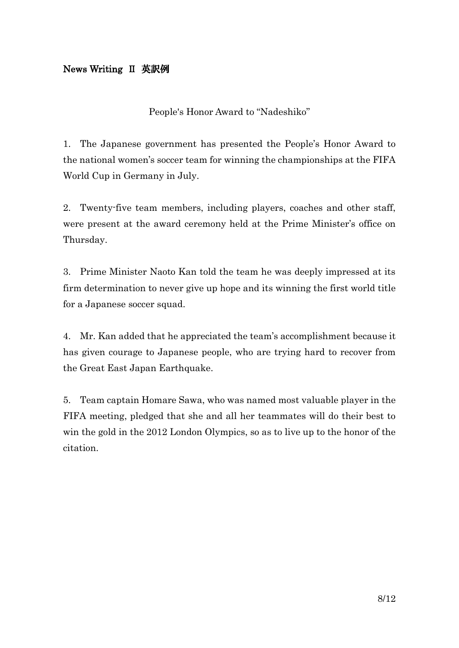## News Writing Ⅱ 英訳例

People's Honor Award to "Nadeshiko"

1. The Japanese government has presented the People's Honor Award to the national women's soccer team for winning the championships at the FIFA World Cup in Germany in July.

2. Twenty-five team members, including players, coaches and other staff, were present at the award ceremony held at the Prime Minister's office on Thursday.

3. Prime Minister Naoto Kan told the team he was deeply impressed at its firm determination to never give up hope and its winning the first world title for a Japanese soccer squad.

4. Mr. Kan added that he appreciated the team's accomplishment because it has given courage to Japanese people, who are trying hard to recover from the Great East Japan Earthquake.

5. Team captain Homare Sawa, who was named most valuable player in the FIFA meeting, pledged that she and all her teammates will do their best to win the gold in the 2012 London Olympics, so as to live up to the honor of the citation.